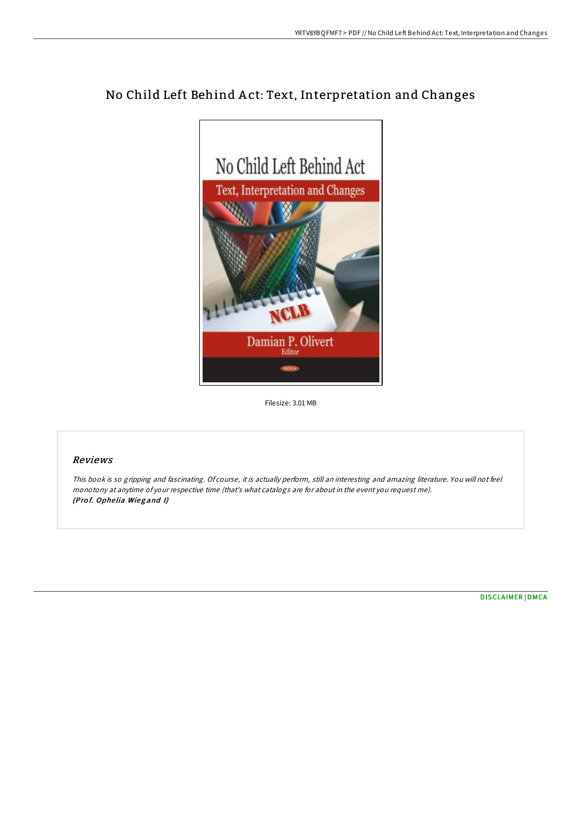# No Child Left Behind A ct: Text, Interpretation and Changes



Filesize: 3.01 MB

### Reviews

This book is so gripping and fascinating. Of course, it is actually perform, still an interesting and amazing literature. You will not feel monotony at anytime of your respective time (that's what catalogs are for about in the event you request me). (Prof. Ophelia Wiegand I)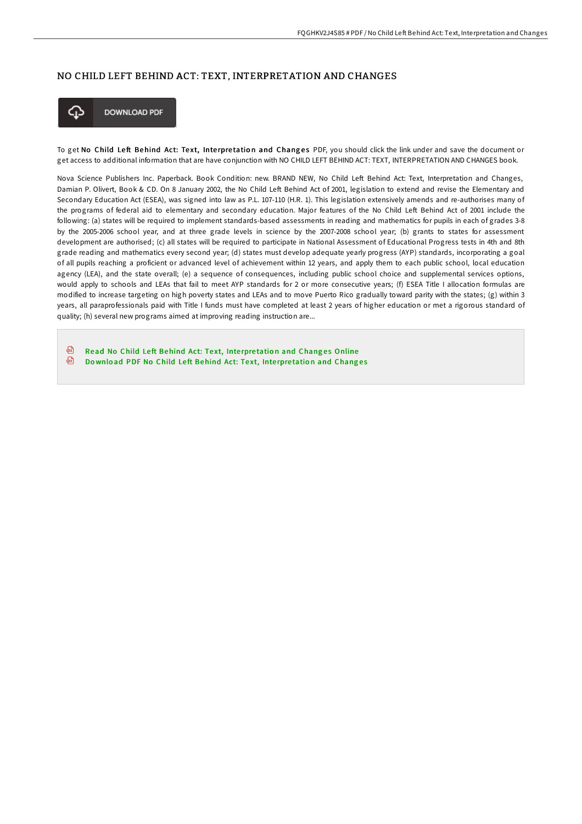#### NO CHILD LEFT BEHIND ACT: TEXT, INTERPRETATION AND CHANGES



**DOWNLOAD PDF** 

To get No Child Left Behind Act: Text, Interpretation and Changes PDF, you should click the link under and save the document or get access to additional information that are have conjunction with NO CHILD LEFT BEHIND ACT: TEXT, INTERPRETATION AND CHANGES book.

Nova Science Publishers Inc. Paperback. Book Condition: new. BRAND NEW, No Child Left Behind Act: Text, Interpretation and Changes, Damian P. Olivert, Book & CD. On 8 January 2002, the No Child Left Behind Act of 2001, legislation to extend and revise the Elementary and Secondary Education Act (ESEA), was signed into law as P.L. 107-110 (H.R. 1). This legislation extensively amends and re-authorises many of the programs of federal aid to elementary and secondary education. Major features of the No Child Left Behind Act of 2001 include the following: (a) states will be required to implement standards-based assessments in reading and mathematics for pupils in each of grades 3-8 by the 2005-2006 school year, and at three grade levels in science by the 2007-2008 school year; (b) grants to states for assessment development are authorised; (c) all states will be required to participate in National Assessment of Educational Progress tests in 4th and 8th grade reading and mathematics every second year; (d) states must develop adequate yearly progress (AYP) standards, incorporating a goal of all pupils reaching a proficient or advanced level of achievement within 12 years, and apply them to each public school, local education agency (LEA), and the state overall; (e) a sequence of consequences, including public school choice and supplemental services options, would apply to schools and LEAs that fail to meet AYP standards for 2 or more consecutive years; (f) ESEA Title I allocation formulas are modified to increase targeting on high poverty states and LEAs and to move Puerto Rico gradually toward parity with the states; (g) within 3 years, all paraprofessionals paid with Title I funds must have completed at least 2 years of higher education or met a rigorous standard of quality; (h) several new programs aimed at improving reading instruction are...

கி Read No Child Left [Behind](http://almighty24.tech/no-child-left-behind-act-text-interpretation-and.html) Act: Text, Interpretation and Changes Online ଈ Download PDF No Child Left [Behind](http://almighty24.tech/no-child-left-behind-act-text-interpretation-and.html) Act: Text, Interpretation and Changes